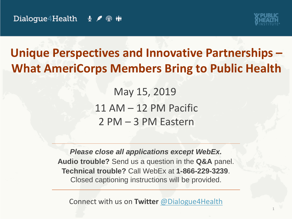

1

### **Unique Perspectives and Innovative Partnerships – What AmeriCorps Members Bring to Public Health**

May 15, 2019 11 AM – 12 PM Pacific 2 PM – 3 PM Eastern

*Please close all applications except WebEx.* **Audio trouble?** Send us a question in the **Q&A** panel. **Technical trouble?** Call WebEx at **1-866-229-3239**. Closed captioning instructions will be provided.

Connect with us on **Twitter** [@Dialogue4Health](https://twitter.com/Dialogue4Health)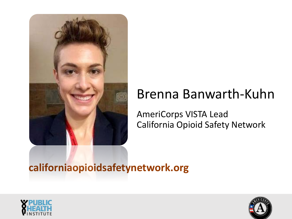

## Brenna Banwarth-Kuhn

AmeriCorps VISTA Lead California Opioid Safety Network

#### **californiaopioidsafetynetwork.org**



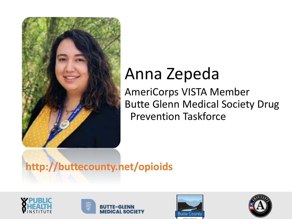

## Anna Zepeda

AmeriCorps VISTA Member Butte Glenn Medical Society Drug Prevention Taskforce

#### **http://buttecounty.net/opioids**







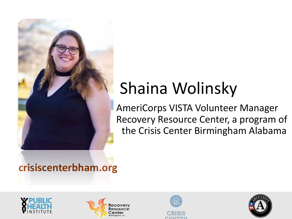

# Shaina Wolinsky

AmeriCorps VISTA Volunteer Manager Recovery Resource Center, a program of the Crisis Center Birmingham Alabama

#### **crisiscenterbham.org**







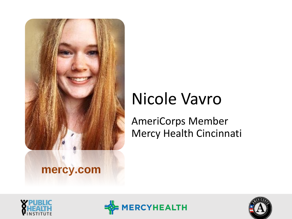

## Nicole Vavro

AmeriCorps Member Mercy Health Cincinnati





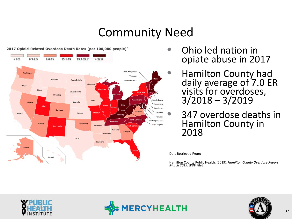#### Community Need



2017 Opioid-Related Overdose Death Rates (per 100,000 people)<sup>1</sup>

- Ohio led nation in opiate abuse in 2017
- · Hamilton County had daily average of 7.0 ER visits for overdoses, 3/2018 – 3/2019
	- 347 overdose deaths in Hamilton County in 2018

• Data Retrieved From:

• Hamilton County Public Health. (2019). *Hamilton County Overdose Report March 2019.* [PDF File].





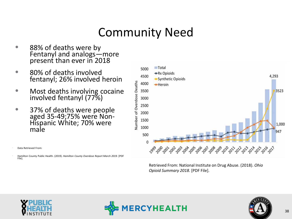#### Community Need

- 88% of deaths were by Fentanyl and analogs—more present than ever in 2018
- 80% of deaths involved fentanyl; 26% involved heroin
- Most deaths involving cocaine involved fentanyl (77%)
- 37% of deaths were people aged 35-49;75% were Non- Hispanic White; 70% were male
- Data Retrieved From:
- Hamilton County Public Health. (2019). *Hamilton County Overdose Report March 2019.* [PDF File].



Retrieved From: National Institute on Drug Abuse. (2018). *Ohio Opioid Summary 2018*. [PDF File].





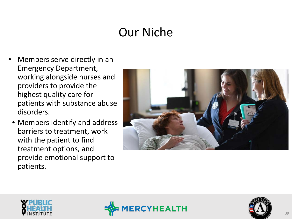#### Our Niche

- Members serve directly in an Emergency Department, working alongside nurses and providers to provide the highest quality care for patients with substance abuse disorders.
	- Members identify and address barriers to treatment, work with the patient to find treatment options, and provide emotional support to patients.







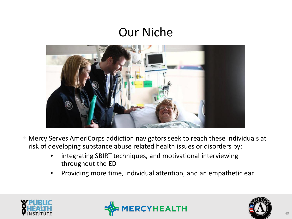#### Our Niche



- Mercy Serves AmeriCorps addiction navigators seek to reach these individuals at risk of developing substance abuse related health issues or disorders by:
	- integrating SBIRT techniques, and motivational interviewing throughout the ED
	- Providing more time, individual attention, and an empathetic ear





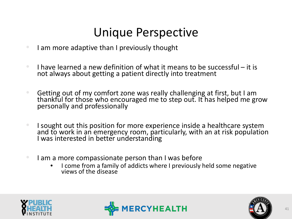#### Unique Perspective

- I am more adaptive than I previously thought
- I have learned a new definition of what it means to be successful  $-$  it is not always about getting a patient directly into treatment
- Getting out of my comfort zone was really challenging at first, but I am thankful for those who encouraged me to step out. It has helped me grow personally and professionally
- I sought out this position for more experience inside a healthcare system and to work in an emergency room, particularly, with an at risk population I was interested in better understanding
- I am a more compassionate person than I was before
	- I come from a family of addicts where I previously held some negative views of the disease





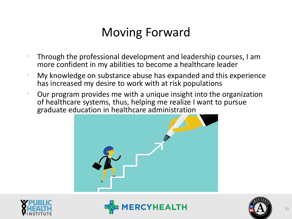### Moving Forward

- Through the professional development and leadership courses, I am more confident in my abilities to become a healthcare leader
- My knowledge on substance abuse has expanded and this experience has increased my desire to work with at risk populations
- Our program provides me with a unique insight into the organization of healthcare systems, thus, helping me realize I want to pursue graduate education in healthcare administration







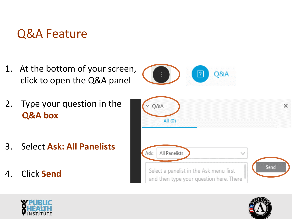#### Q&A Feature

- 1. At the bottom of your screen, click to open the Q&A panel
- 2. Type your question in the **Q&A box**
- 3. Select **Ask: All Panelists**
- 4. Click **Send**



Q&A

[?]



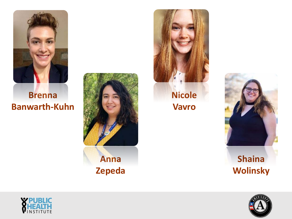

#### **Brenna Banwarth-Kuhn**





**Nicole Vavro**





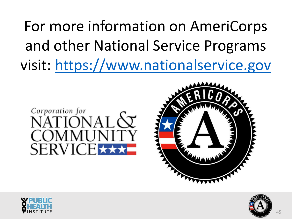For more information on AmeriCorps and other National Service Programs visit: [https://www.nationalservice.gov](https://www.nationalservice.gov/programs/americorps)







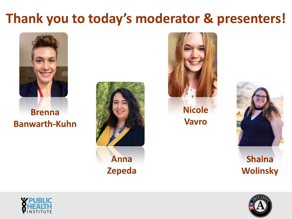## **Thank you to today's moderator & presenters!**



**Brenna Banwarth-Kuhn**





**Nicole Vavro**





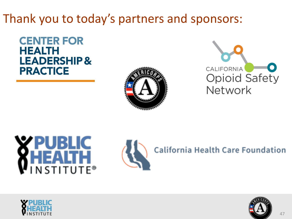#### Thank you to today's partners and sponsors:

**CENTER FOR HEALTH LEADERSHIP& PRACTICE** 









**California Health Care Foundation**